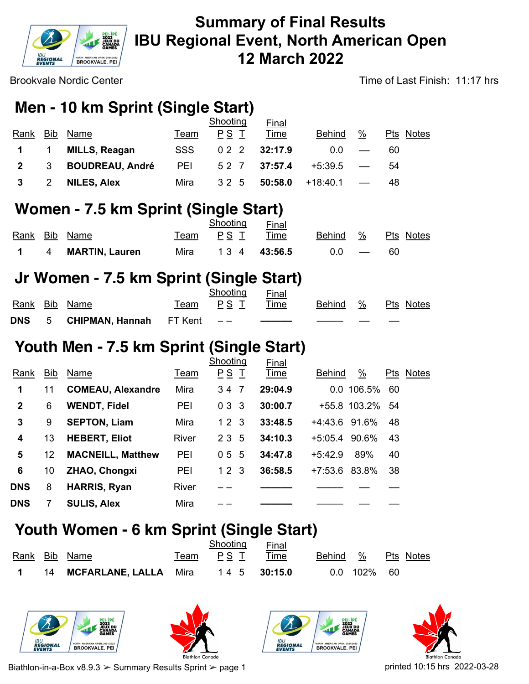

Brookvale Nordic Center

Time of Last Finish: 11:17 hrs

# **Men - 10 km Sprint (Single Start)**

|              |                |                        |            | Shooting | Final   |               |                          |           |
|--------------|----------------|------------------------|------------|----------|---------|---------------|--------------------------|-----------|
| Rank         | <b>Bib</b>     | Name                   | Team       | PS T     | Time    | <b>Behind</b> | %                        | Pts Notes |
|              | $\overline{1}$ | <b>MILLS, Reagan</b>   | <b>SSS</b> | 022      | 32:17.9 | 0.0           | $\overline{\phantom{m}}$ | 60        |
| $\mathbf{2}$ | -3             | <b>BOUDREAU, André</b> | PEI        | 52 7     | 37:57.4 | +5:39.5       | $\hspace{0.05cm}$        | 54        |
|              | 2              | <b>NILES, Alex</b>     | Mira       | 32 5     | 50:58.0 | +18:40.1      |                          | 48        |

## **Women - 7.5 km Sprint (Single Start)**

|  |                    |      | Shooting | Final         |          |           |
|--|--------------------|------|----------|---------------|----------|-----------|
|  | Rank Bib Name      |      | Team PST | Time          | Behind % | Pts Notes |
|  | 1 4 MARTIN, Lauren | Mira |          | 1 3 4 43:56.5 | $0.0 -$  | 60        |

## **Jr Women - 7.5 km Sprint (Single Start)**

|  |                                     | Shooting   | Final |          |                  |
|--|-------------------------------------|------------|-------|----------|------------------|
|  | Rank Bib Name                       | Team PST – | Time  | Behind % | <b>Pts Notes</b> |
|  | DNS $5$ CHIPMAN, Hannah FT Kent $-$ |            |       |          |                  |

# **Youth Men - 7.5 km Sprint (Single Start)**

| Rank         | Bib | Name                     | Team         | Shooting<br>PSI | Final<br>Time | $\frac{0}{0}$<br><b>Behind</b> | Pts<br><b>Notes</b> |
|--------------|-----|--------------------------|--------------|-----------------|---------------|--------------------------------|---------------------|
| 1            | 11  | <b>COMEAU, Alexandre</b> | Mira         | 34 7            | 29:04.9       | 0.0 106.5%                     | 60                  |
| $\mathbf{2}$ | 6   | <b>WENDT, Fidel</b>      | PEI          | 033             | 30:00.7       | +55.8 103.2%                   | -54                 |
| 3            | 9   | <b>SEPTON, Liam</b>      | Mira         | 12 <sub>3</sub> | 33:48.5       | +4:43.6 91.6%                  | 48                  |
| 4            | 13  | <b>HEBERT, Eliot</b>     | <b>River</b> | 2 3 5           | 34:10.3       | +5:05.4 90.6%                  | 43                  |
| 5            | 12  | <b>MACNEILL, Matthew</b> | PEI          | 5<br>05         | 34:47.8       | 89%<br>$+5.42.9$               | 40                  |
| 6            | 10  | <b>ZHAO, Chongxi</b>     | PEI          | 123             | 36:58.5       | 83.8%<br>+7:53.6               | 38                  |
| <b>DNS</b>   | 8   | <b>HARRIS, Ryan</b>      | <b>River</b> |                 |               |                                |                     |
| <b>DNS</b>   |     | <b>SULIS, Alex</b>       | Mira         |                 |               |                                |                     |

## **Youth Women - 6 km Sprint (Single Start)**

|  |                                         | Shooting             | Final |             |                    |  |
|--|-----------------------------------------|----------------------|-------|-------------|--------------------|--|
|  | <u>Rank Bib</u> Name                    | <u>Team PSI Time</u> |       |             | Behind % Pts Notes |  |
|  | 1 14 MCFARLANE, LALLA Mira 14 5 30:15.0 |                      |       | 0.0 102% 60 |                    |  |









Biathlon-in-a-Box v8.9.3  $>$  Summary Results Sprint  $>$  page 1 printed 10:15 hrs 2022-03-28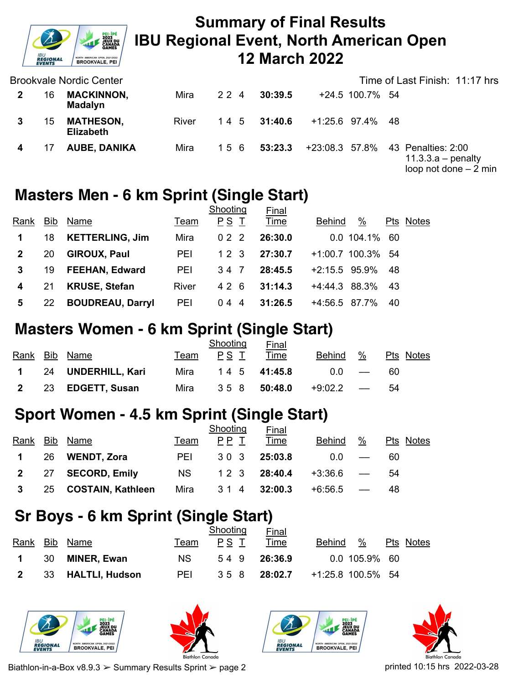

Brookvale Nordic Center

|    | Brookvale Nordic Center              |       |     |               |  |                  | Time of Last Finish: 11:17 hrs                                                      |
|----|--------------------------------------|-------|-----|---------------|--|------------------|-------------------------------------------------------------------------------------|
| 16 | <b>MACKINNON,</b><br><b>Madalyn</b>  | Mira  | 224 | 30:39.5       |  | +24.5 100.7% 54  |                                                                                     |
| 15 | <b>MATHESON,</b><br><b>Elizabeth</b> | River |     | 1 4 5 31:40.6 |  | +1:25.6 97.4% 48 |                                                                                     |
|    | <b>AUBE, DANIKA</b>                  | Mira  | 156 | 53:23.3       |  |                  | +23:08.3 57.8% 43 Penalties: 2:00<br>$11.3.3.a - penalty$<br>loop not done $-2$ min |

#### **Masters Men - 6 km Sprint (Single Start)**

|                |            |                         |       | Shooting | <b>Final</b> |                       |           |
|----------------|------------|-------------------------|-------|----------|--------------|-----------------------|-----------|
| Rank           | <b>Bib</b> | Name                    | Team  | PS T     | Time         | $\%$<br><b>Behind</b> | Pts Notes |
|                | 18         | <b>KETTERLING, Jim</b>  | Mira  | 022      | 26:30.0      | $0.0$ 104.1%          | - 60      |
| $\overline{2}$ | 20         | <b>GIROUX, Paul</b>     | PEI   | 12 3     | 27:30.7      | +1:00.7 100.3% 54     |           |
| 3              | 19         | <b>FEEHAN, Edward</b>   | PEI   | 34 7     | 28:45.5      | $+2:15.5$ 95.9%       | 48        |
| 4              | 21         | <b>KRUSE, Stefan</b>    | River | 426      | 31:14.3      | $+4:44.3$ 88.3%       | 43        |
| 5              | 22         | <b>BOUDREAU, Darryl</b> | PEI   | 044      | 31:26.5      | +4:56.5<br>87.7%      | 40        |

## **Masters Women - 6 km Sprint (Single Start)**

|                |                      |      | Shooting | <u>Final</u>  |             |                   |           |
|----------------|----------------------|------|----------|---------------|-------------|-------------------|-----------|
|                | Rank Bib Name        | Team | PS T     | Time          | Behind      | $\%$              | Pts Notes |
|                | 1 24 UNDERHILL, Kari | Mira |          | 1 4 5 41:45.8 | 0.0         | $\hspace{0.05cm}$ | 60        |
| $\overline{2}$ | 23 EDGETT, Susan     | Mira | 358      | 50:48.0       | $+9:02.2$ — |                   | 54        |

### **Sport Women - 4.5 km Sprint (Single Start)**

|                |     |                          |            | Shooting | Final         |               |                          |           |
|----------------|-----|--------------------------|------------|----------|---------------|---------------|--------------------------|-----------|
| Rank           |     | Bib Name                 | Team       | PP T     | Time          | <b>Behind</b> | $\%$                     | Pts Notes |
| $\mathbf 1$    | -26 | <b>WENDT, Zora</b>       | <b>PEI</b> | 30 3     | 25:03.8       | 0.0           |                          | 60        |
| 2 27           |     | <b>SECORD, Emily</b>     | <b>NS</b>  |          | 1 2 3 28:40.4 | +3:36.6       | $\overline{\phantom{a}}$ | 54        |
| 3 <sup>1</sup> | 25  | <b>COSTAIN, Kathleen</b> | Mira       | 314      | 32:00.3       | +6:56.5       |                          | 48        |

## **Sr Boys - 6 km Sprint (Single Start)**

|                         |                    |            | Shooting | <b>Final</b> |                   |                 |           |
|-------------------------|--------------------|------------|----------|--------------|-------------------|-----------------|-----------|
|                         | Rank Bib Name      | Team       | PS T     | Time         | Behind            | %               | Pts Notes |
| $1 \quad 30$            | <b>MINER, Ewan</b> | NS.        | 549      | 26:36.9      |                   | $0.0$ 105.9% 60 |           |
| $\overline{\mathbf{2}}$ | 33 HALTLI, Hudson  | <b>PEI</b> |          | 358 28:02.7  | +1:25.8 100.5% 54 |                 |           |









Biathlon-in-a-Box v8.9.3  $>$  Summary Results Sprint  $>$  page 2 printed 10:15 hrs 2022-03-28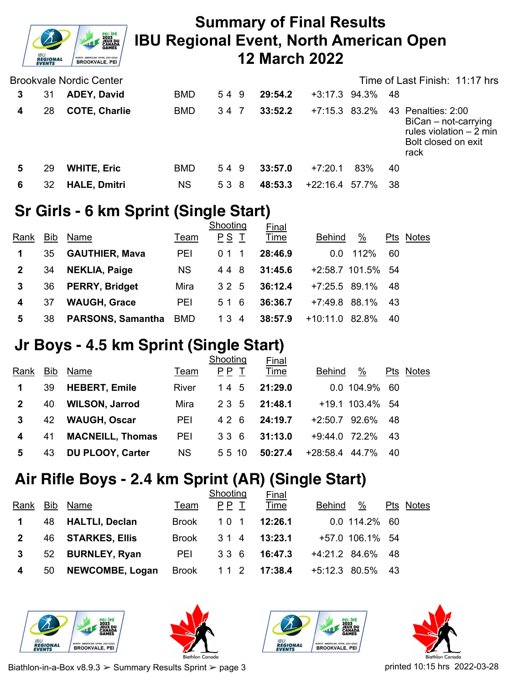

|   |    | <b>Brookvale Nordic Center</b> |            |     |         |                 |     | Time of Last Finish: 11:17 hrs                                                                        |
|---|----|--------------------------------|------------|-----|---------|-----------------|-----|-------------------------------------------------------------------------------------------------------|
| 3 | 31 | <b>ADEY, David</b>             | <b>BMD</b> | 549 | 29:54.2 | $+3:17.3$ 94.3% |     | -48                                                                                                   |
| 4 | 28 | <b>COTE, Charlie</b>           | <b>BMD</b> | 34  | 33:52.2 | $+7:15.3$ 83.2% |     | 43 Penalties: 2:00<br>BiCan - not-carrying<br>rules violation $-2$ min<br>Bolt closed on exit<br>rack |
| 5 | 29 | <b>WHITE, Eric</b>             | <b>BMD</b> | 549 | 33:57.0 | $+7:20.1$       | 83% | 40                                                                                                    |
| 6 | 32 | <b>HALE, Dmitri</b>            | <b>NS</b>  | 538 | 48:53.3 | +22:16.4 57.7%  |     | -38                                                                                                   |

## **Sr Girls - 6 km Sprint (Single Start)**

|      |            |                          |            | Shooting | <b>Final</b> |                   |       |     |              |
|------|------------|--------------------------|------------|----------|--------------|-------------------|-------|-----|--------------|
| Rank | <b>Bib</b> | Name                     | Team       | PS T     | Time         | <b>Behind</b>     | %     | Pts | <b>Notes</b> |
| 1    | 35         | <b>GAUTHIER, Mava</b>    | PEI        | 0.1      | 28:46.9      | 0.0               | 112%  | 60  |              |
|      | 34         | <b>NEKLIA, Paige</b>     | <b>NS</b>  | 448      | 31:45.6      | +2:58.7 101.5% 54 |       |     |              |
| 3    | 36         | <b>PERRY, Bridget</b>    | Mira       | 32 5     | 36:12.4      | $+7:25.5$ 89.1%   |       | 48  |              |
| 4    | 37         | <b>WAUGH, Grace</b>      | PEI        | 516      | 36:36.7      | $+7:49.8$ 88.1%   |       | 43  |              |
| 5    | 38         | <b>PARSONS, Samantha</b> | <b>BMD</b> | 134      | 38:57.9      | $+10:11.0$        | 82.8% | 40  |              |

## **Jr Boys - 4.5 km Sprint (Single Start)**

|      |            |                         |           | Shooting | Final   |               |                 |     |              |
|------|------------|-------------------------|-----------|----------|---------|---------------|-----------------|-----|--------------|
| Rank | <b>Bib</b> | Name                    | Team      | PP T     | Time    | Behind        | $\frac{0}{2}$   | Pts | <b>Notes</b> |
|      | 39         | <b>HEBERT, Emile</b>    | River     | 14 5     | 21:29.0 |               | 0.0 104.9%      | 60  |              |
|      | 40         | <b>WILSON, Jarrod</b>   | Mira      | 23 5     | 21:48.1 |               | +19.1 103.4% 54 |     |              |
| 3    | 42         | <b>WAUGH, Oscar</b>     | PEI       | 426      | 24:19.7 | $+2:50.7$     | 92.6%           | -48 |              |
| 4    | 41         | <b>MACNEILL, Thomas</b> | PEI       | 336      | 31:13.0 | +9:44.0 72.2% |                 | -43 |              |
| 5    | 43         | <b>DU PLOOY, Carter</b> | <b>NS</b> | 55 10    | 50:27.4 | $+28:58.4$    | 44.7%           | -40 |              |

# **Air Rifle Boys - 2.4 km Sprint (AR) (Single Start)**

|                |     |                        |              | Shooting | <b>Final</b> |                    |      |           |
|----------------|-----|------------------------|--------------|----------|--------------|--------------------|------|-----------|
| Rank           | Bib | Name                   | Team         | PP T     | Time         | %<br><b>Behind</b> |      | Pts Notes |
|                | 48  | <b>HALTLI, Declan</b>  | <b>Brook</b> | 10 1     | 12:26.1      | $0.0$ 114.2% 60    |      |           |
| $\overline{2}$ | 46  | <b>STARKES, Ellis</b>  | <b>Brook</b> | 314      | 13:23.1      | +57.0 106.1% 54    |      |           |
| 3              | 52  | <b>BURNLEY, Ryan</b>   | <b>PEI</b>   | 336      | 16:47.3      | +4:21.2 84.6%      | -48  |           |
| 4              | 50  | <b>NEWCOMBE, Logan</b> | <b>Brook</b> | 11 2     | 17:38.4      | +5:12.3 80.5%      | - 43 |           |
|                |     |                        |              |          |              |                    |      |           |









Biathlon-in-a-Box v8.9.3  $>$  Summary Results Sprint  $>$  page 3 printed 10:15 hrs 2022-03-28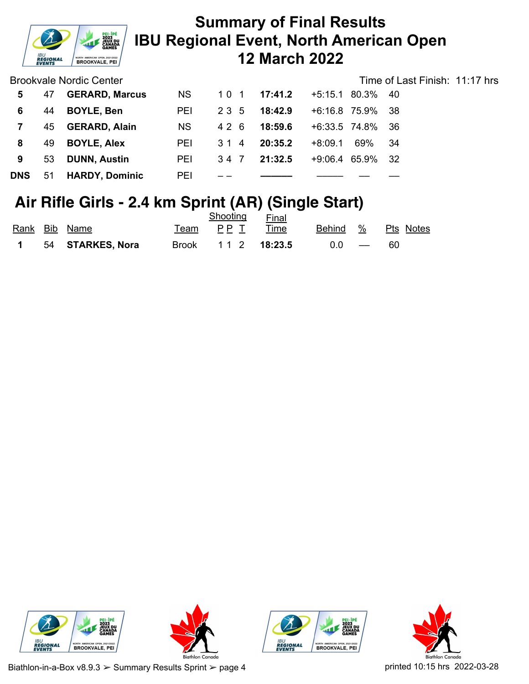

Brookvale Nordic Center

| Time of Last Finish: 11:17 hrs |  |
|--------------------------------|--|
|--------------------------------|--|

| 5          | 47 | <b>GERARD, Marcus</b> | <b>NS</b>  | 101  | 17:41.2 | $+5:15.1$ 80.3% | - 40         |  |
|------------|----|-----------------------|------------|------|---------|-----------------|--------------|--|
| 6.         | 44 | <b>BOYLE, Ben</b>     | <b>PEI</b> | 235  | 18:42.9 | +6:16.8 75.9%   | - 38         |  |
|            | 45 | <b>GERARD, Alain</b>  | <b>NS</b>  | 426  | 18:59.6 | +6:33.5 74.8%   | -36          |  |
| 8          | 49 | <b>BOYLE, Alex</b>    | <b>PEI</b> | 314  | 20:35.2 | $+8:09.1$       | 69%<br>-34   |  |
| 9          | 53 | <b>DUNN, Austin</b>   | PEI        | 34 7 | 21:32.5 | $+9:06.4$       | 65.9%<br>-32 |  |
| <b>DNS</b> | 51 | <b>HARDY, Dominic</b> | PEI        |      |         |                 |              |  |

## **Air Rifle Girls - 2.4 km Sprint (AR) (Single Start)**

|  |                    |        | Shooting           | Final |         |                    |
|--|--------------------|--------|--------------------|-------|---------|--------------------|
|  | Rank Bib Name      | Team a | PP T Time          |       |         | Behind % Pts Notes |
|  | 1 54 STARKES, Nora |        | Brook 11 2 18:23.5 |       | $0.0 -$ | -60                |







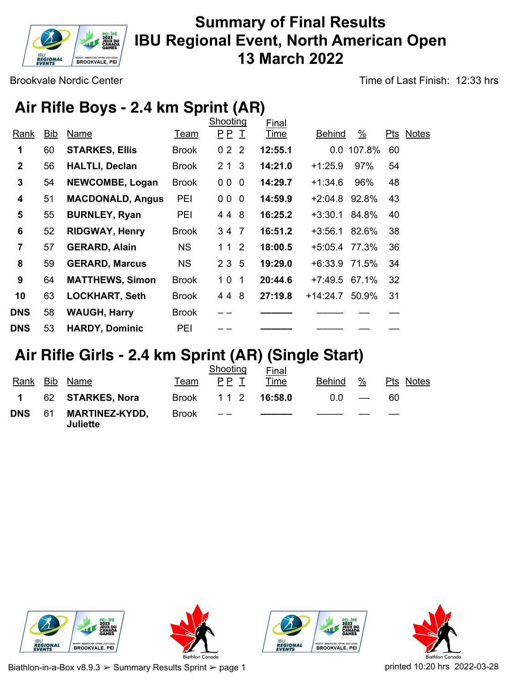

Brookvale Nordic Center

Time of Last Finish: 12:33 hrs

# **Air Rifle Boys - 2.4 km Sprint (AR)**

|                |     |                         |              | Shooting | Final       |                 |               |     |              |
|----------------|-----|-------------------------|--------------|----------|-------------|-----------------|---------------|-----|--------------|
| Rank           | Bib | Name                    | Team         | P P I    | <u>Time</u> | <b>Behind</b>   | $\frac{9}{6}$ | Pts | <b>Notes</b> |
| 1              | 60  | <b>STARKES, Ellis</b>   | <b>Brook</b> | 022      | 12:55.1     |                 | 0.0 107.8%    | 60  |              |
| $\mathbf{2}$   | 56  | <b>HALTLI, Declan</b>   | <b>Brook</b> | 213      | 14:21.0     | $+1:25.9$       | 97%           | 54  |              |
| 3              | 54  | <b>NEWCOMBE, Logan</b>  | <b>Brook</b> | 000      | 14:29.7     | $+1:34.6$       | 96%           | 48  |              |
| 4              | 51  | <b>MACDONALD, Angus</b> | PEI          | 000      | 14:59.9     | +2:04.8         | 92.8%         | 43  |              |
| 5              | 55  | <b>BURNLEY, Ryan</b>    | PEI          | 44 8     | 16:25.2     | $+3:30.1$ 84.8% |               | 40  |              |
| 6              | 52  | <b>RIDGWAY, Henry</b>   | <b>Brook</b> | 34 7     | 16:51.2     | $+3:56.1$       | 82.6%         | 38  |              |
| $\overline{7}$ | 57  | <b>GERARD, Alain</b>    | <b>NS</b>    | 112      | 18:00.5     | +5:05.4         | 77.3%         | 36  |              |
| 8              | 59  | <b>GERARD, Marcus</b>   | <b>NS</b>    | 2 3 5    | 19:29.0     | +6:33.9 71.5%   |               | 34  |              |
| 9              | 64  | <b>MATTHEWS, Simon</b>  | <b>Brook</b> | 101      | 20:44.6     | $+7:49.5$ 67.1% |               | 32  |              |
| 10             | 63  | <b>LOCKHART, Seth</b>   | <b>Brook</b> | 448      | 27:19.8     | +14:24.7        | 50.9%         | 31  |              |
| <b>DNS</b>     | 58  | <b>WAUGH, Harry</b>     | <b>Brook</b> |          |             |                 |               |     |              |
| <b>DNS</b>     | 53  | <b>HARDY, Dominic</b>   | PEI          |          |             |                 |               |     |              |

### **Air Rifle Girls - 2.4 km Sprint (AR) (Single Start)**

|                |    |                                   |              | Shooting | <b>Final</b>  |               |                          |           |
|----------------|----|-----------------------------------|--------------|----------|---------------|---------------|--------------------------|-----------|
| Rank           |    | Bib Name                          | Team         | PP T     | Time          | <b>Behind</b> | %                        | Pts Notes |
| $\blacksquare$ |    | 62 STARKES, Nora                  | Brook        |          | 1 1 2 16:58.0 | 0.0           | $\overline{\phantom{a}}$ | 60        |
| <b>DNS</b>     | 61 | <b>MARTINEZ-KYDD,</b><br>Juliette | <b>Brook</b> | $- -$    |               |               |                          |           |







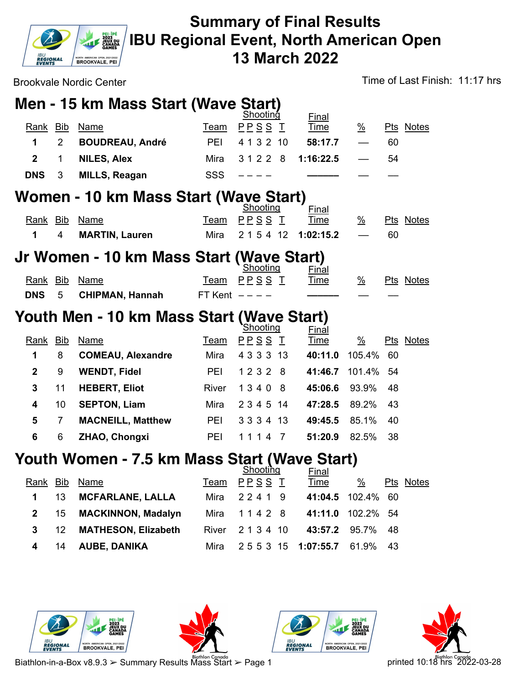

Brookvale Nordic Center Time of Last Finish: 11:17 hrs

# **Men - 15 km Mass Start (Wave Start)**

| Women - 10 km Mass Start (Waye Start)<br>$-1$ |     |                        |            |               |              |                          |           |  |  |
|-----------------------------------------------|-----|------------------------|------------|---------------|--------------|--------------------------|-----------|--|--|
| DNS <sub>3</sub>                              |     | <b>MILLS, Reagan</b>   | SSS.       | $\frac{1}{2}$ |              |                          |           |  |  |
|                                               |     | <b>NILES, Alex</b>     | Mira       | 31228         | 1:16:22.5    | $\overline{\phantom{0}}$ | 54        |  |  |
|                                               |     | <b>BOUDREAU, André</b> | <b>PFI</b> | 4 1 3 2 10    | 58:17.7      |                          | 60        |  |  |
| Rank                                          | Bib | Name                   | Team       | PPSS T        | <b>Time</b>  | %                        | Pts Notes |  |  |
|                                               |     |                        |            | Shooting      | <b>Final</b> |                          |           |  |  |

|  |                    | Shooting                  | Final |   |                  |
|--|--------------------|---------------------------|-------|---|------------------|
|  | Rank Bib Name      | Team PPSS I Time          |       | % | <b>Pts Notes</b> |
|  | 1 4 MARTIN, Lauren | Mira $215412$ 1:02:15.2 – |       |   | -60              |

#### **Jr Women - 10 km Mass Start (Wave Start)**

|  |                       | Shooting          | Final |   |           |
|--|-----------------------|-------------------|-------|---|-----------|
|  | Rank Bib Name         | <u>Team PPSSI</u> | Time  | % | Pts Notes |
|  | DNS 5 CHIPMAN, Hannah | FT Kent $---$     |       |   |           |

#### **Youth Men - 10 km Mass Start (Wave Start)**

|              |            |                          |       | <b>Shooting</b> | Final   |                       |           |  |
|--------------|------------|--------------------------|-------|-----------------|---------|-----------------------|-----------|--|
| Rank         | <b>Bib</b> | Name                     | Team  | PPSS T          | Time    | $\frac{\%}{\sqrt{2}}$ | Pts Notes |  |
| 1            | 8          | <b>COMEAU, Alexandre</b> | Mira  | 4 3 3 3 1 3     | 40:11.0 | 105.4%                | -60       |  |
| $\mathbf{2}$ | 9          | <b>WENDT, Fidel</b>      | PEI   | 1 2 3 2<br>-8   | 41:46.7 | 101.4% 54             |           |  |
| 3            | 11         | <b>HEBERT, Eliot</b>     | River | 1340<br>-8      | 45:06.6 | 93.9%                 | -48       |  |
| 4            | 10         | <b>SEPTON, Liam</b>      | Mira  | 2 3 4 5 14      | 47:28.5 | 89.2%                 | -43       |  |
| 5            |            | <b>MACNEILL, Matthew</b> | PEI   | 3334 13         | 49:45.5 | 85.1%                 | 40        |  |
| 6            | 6          | ZHAO, Chongxi            | PEI   | 4               | 51:20.9 | 82.5%                 | 38        |  |
|              |            |                          |       |                 |         |                       |           |  |

#### **Youth Women - 7.5 km Mass Start (Wave Start)**

|              |                  |                            |      | Shooting                        | <b>Final</b>      |   |           |
|--------------|------------------|----------------------------|------|---------------------------------|-------------------|---|-----------|
| Rank Bib     |                  | Name                       | Team | PPSS T                          | <b>Time</b>       | % | Pts Notes |
| $\mathbf 1$  | 13               | <b>MCFARLANE, LALLA</b>    |      | Mira 22419                      | 41:04.5 102.4% 60 |   |           |
| $\mathbf{2}$ | 15               | <b>MACKINNON, Madalyn</b>  |      | Mira 1142 8 41:11.0 102.2% 54   |                   |   |           |
| $3^{\circ}$  | 12 <sup>12</sup> | <b>MATHESON, Elizabeth</b> |      | River 2134 10                   | 43:57.2 95.7% 48  |   |           |
| 4            | 14               | <b>AUBE, DANIKA</b>        |      | Mira 2553 15 1:07:55.7 61.9% 43 |                   |   |           |







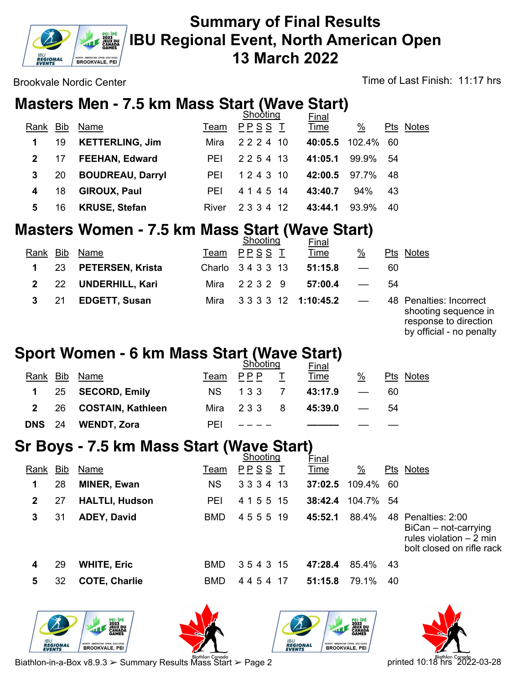

Brookvale Nordic Center Time of Last Finish: 11:17 hrs

## **Masters Men - 7.5 km Mass Start (Wave Start)**

|              |    |                         |            | <b>Shooting</b> | <b>Final</b>      |               |     |           |
|--------------|----|-------------------------|------------|-----------------|-------------------|---------------|-----|-----------|
| Rank Bib     |    | Name                    | Team       | PPSS T          | <b>Time</b>       | $\frac{0}{2}$ |     | Pts Notes |
| 1            | 19 | <b>KETTERLING, Jim</b>  | Mira       | 2 2 2 4 10      | 40:05.5 102.4% 60 |               |     |           |
| $\mathbf{2}$ | 17 | <b>FEEHAN, Edward</b>   | <b>PEI</b> | 2 2 5 4 13      | 41:05.1           | 99.9% 54      |     |           |
| 3            | 20 | <b>BOUDREAU, Darryl</b> | <b>PEI</b> | 1 2 4 3 10      | 42:00.5           | 97.7%         | -48 |           |
| 4            | 18 | <b>GIROUX, Paul</b>     | <b>PEI</b> | 4 1 4 5 14      | 43:40.7           | 94%           | 43  |           |
| 5            | 16 | <b>KRUSE, Stefan</b>    | River      | 12<br>2 3 3 4   | 43:44.1           | 93.9%         | 40  |           |
|              |    |                         |            |                 |                   |               |     |           |

## **Masters Women - 7.5 km Mass Start (Wave Start)**

|              |     |                      |      | Shooting                 | <b>Final</b> |                          |                                                 |
|--------------|-----|----------------------|------|--------------------------|--------------|--------------------------|-------------------------------------------------|
| Rank         | Bib | Name                 | Team | PPSS T                   | <b>Time</b>  | $\%$                     | Pts Notes                                       |
| $\mathbf 1$  |     | 23 PETERSEN, Krista  |      | Charlo 3433 13           | 51:15.8      | $\overline{\phantom{m}}$ | 60                                              |
| $\mathbf{2}$ |     | 22 UNDERHILL, Kari   |      | Mira 22329               | 57:00.4      | $\sim$ $-$               | 54                                              |
| $3^{\circ}$  | -21 | <b>EDGETT, Susan</b> |      | Mira 3333 12 1:10:45.2 — |              |                          | 48 Penalties: Incorrect<br>shooting sequence in |

response to direction by official - no penalty

## **Sport Women - 6 km Mass Start (Wave Start)**

|               |                        | <b>Shooting</b> |               |  | <b>Final</b> |                          |                  |
|---------------|------------------------|-----------------|---------------|--|--------------|--------------------------|------------------|
| Rank Bib      | Name                   |                 | Team PPP      |  | <u>Time</u>  | $\frac{0}{2}$            | <b>Pts Notes</b> |
|               | 1 25 SECORD, Emily     | NS.             | 133 7         |  | 43:17.9      |                          | 60               |
|               | 2 26 COSTAIN, Kathleen |                 | Mira 233 8    |  | 45:39.0      | $\overline{\phantom{a}}$ | 54               |
| <b>DNS</b> 24 | <b>WENDT, Zora</b>     | <b>PFI</b>      | $\frac{1}{2}$ |  |              |                          |                  |

### **Sr Boys - 7.5 km Mass Start (Wave Start)**

|      |     |                       |            | Shooting   | Final       |                       |     |                                                                                                       |
|------|-----|-----------------------|------------|------------|-------------|-----------------------|-----|-------------------------------------------------------------------------------------------------------|
| Rank | Bib | Name                  | Team       | P P S S I  | <u>Time</u> | $\frac{\%}{\sqrt{2}}$ |     | Pts Notes                                                                                             |
| 1    | 28  | <b>MINER, Ewan</b>    | NS.        | 3 3 3 4 13 | 37:02.5     | 109.4%                | -60 |                                                                                                       |
| 2    | 27  | <b>HALTLI, Hudson</b> | <b>PEI</b> | 4 1 5 5 15 | 38:42.4     | 104.7% 54             |     |                                                                                                       |
| 3    | 31  | <b>ADEY, David</b>    | <b>BMD</b> | 455519     | 45:52.1     | 88.4%                 |     | 48 Penalties: 2:00<br>$Bican - not-carrying$<br>rules violation $-2$ min<br>bolt closed on rifle rack |
| 4    | 29  | <b>WHITE, Eric</b>    | BMD.       | 354315     | 47:28.4     | 85.4%                 | 43  |                                                                                                       |
| 5    | 32  | <b>COTE, Charlie</b>  | <b>BMD</b> | 4454<br>17 | 51:15.8     | 79.1%                 | 40  |                                                                                                       |









Biathlon-in-a-Box v8.9.3 > Summary Results Mass Start > Page 2 printed 10:18 hrs 2022-03-28 printed 10:18 hrs 2022-03-28